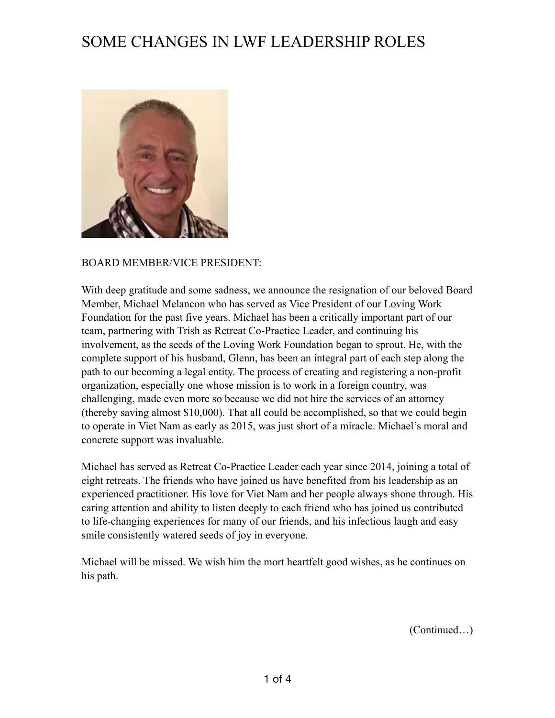

#### BOARD MEMBER/VICE PRESIDENT:

With deep gratitude and some sadness, we announce the resignation of our beloved Board Member, Michael Melancon who has served as Vice President of our Loving Work Foundation for the past five years. Michael has been a critically important part of our team, partnering with Trish as Retreat Co-Practice Leader, and continuing his involvement, as the seeds of the Loving Work Foundation began to sprout. He, with the complete support of his husband, Glenn, has been an integral part of each step along the path to our becoming a legal entity. The process of creating and registering a non-profit organization, especially one whose mission is to work in a foreign country, was challenging, made even more so because we did not hire the services of an attorney (thereby saving almost \$10,000). That all could be accomplished, so that we could begin to operate in Viet Nam as early as 2015, was just short of a miracle. Michael's moral and concrete support was invaluable.

Michael has served as Retreat Co-Practice Leader each year since 2014, joining a total of eight retreats. The friends who have joined us have benefited from his leadership as an experienced practitioner. His love for Viet Nam and her people always shone through. His caring attention and ability to listen deeply to each friend who has joined us contributed to life-changing experiences for many of our friends, and his infectious laugh and easy smile consistently watered seeds of joy in everyone.

Michael will be missed. We wish him the mort heartfelt good wishes, as he continues on his path.

(Continued…)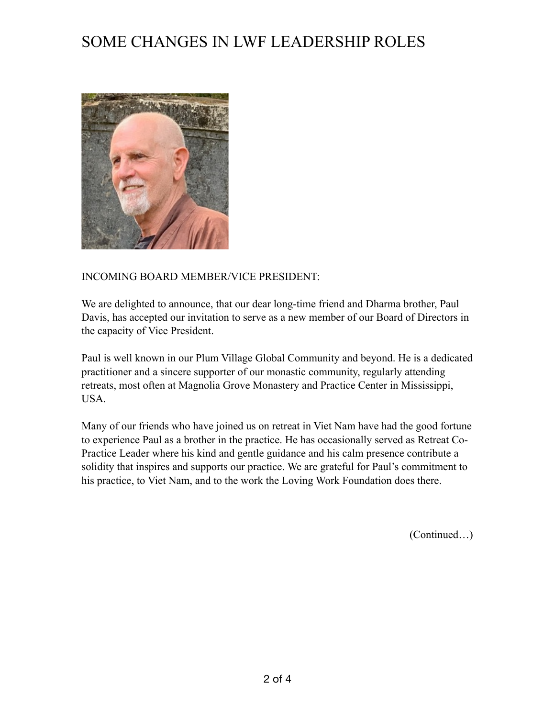

### INCOMING BOARD MEMBER/VICE PRESIDENT:

We are delighted to announce, that our dear long-time friend and Dharma brother, Paul Davis, has accepted our invitation to serve as a new member of our Board of Directors in the capacity of Vice President.

Paul is well known in our Plum Village Global Community and beyond. He is a dedicated practitioner and a sincere supporter of our monastic community, regularly attending retreats, most often at Magnolia Grove Monastery and Practice Center in Mississippi, USA.

Many of our friends who have joined us on retreat in Viet Nam have had the good fortune to experience Paul as a brother in the practice. He has occasionally served as Retreat Co-Practice Leader where his kind and gentle guidance and his calm presence contribute a solidity that inspires and supports our practice. We are grateful for Paul's commitment to his practice, to Viet Nam, and to the work the Loving Work Foundation does there.

(Continued…)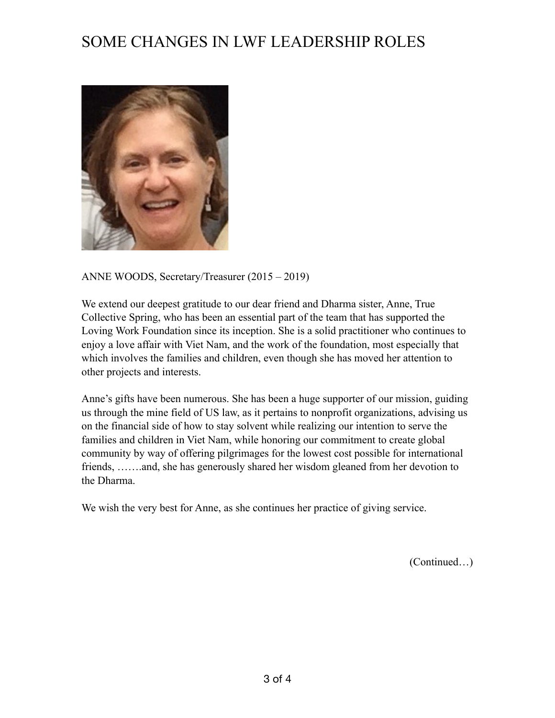

ANNE WOODS, Secretary/Treasurer (2015 – 2019)

We extend our deepest gratitude to our dear friend and Dharma sister, Anne, True Collective Spring, who has been an essential part of the team that has supported the Loving Work Foundation since its inception. She is a solid practitioner who continues to enjoy a love affair with Viet Nam, and the work of the foundation, most especially that which involves the families and children, even though she has moved her attention to other projects and interests.

Anne's gifts have been numerous. She has been a huge supporter of our mission, guiding us through the mine field of US law, as it pertains to nonprofit organizations, advising us on the financial side of how to stay solvent while realizing our intention to serve the families and children in Viet Nam, while honoring our commitment to create global community by way of offering pilgrimages for the lowest cost possible for international friends, …….and, she has generously shared her wisdom gleaned from her devotion to the Dharma.

We wish the very best for Anne, as she continues her practice of giving service.

(Continued…)